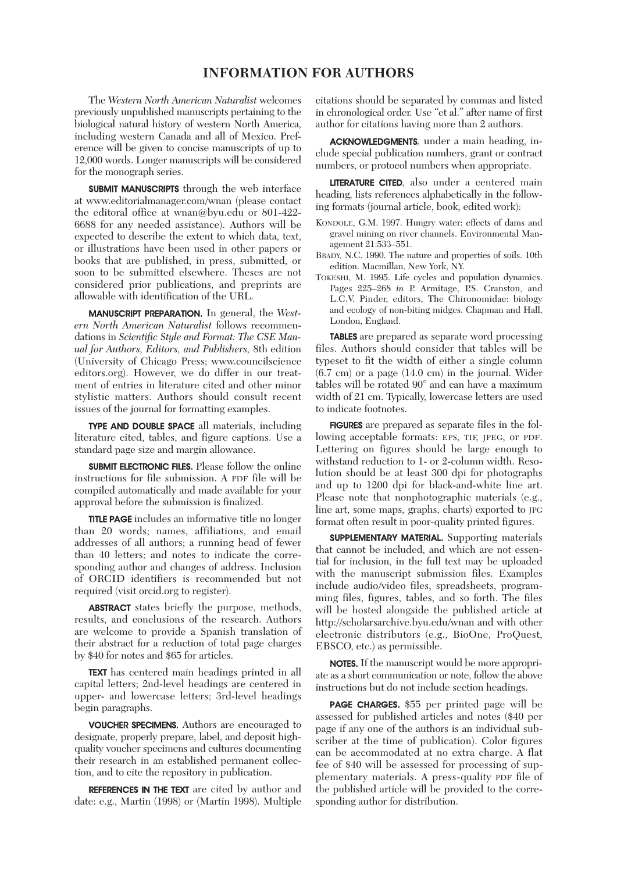#### **INFORMATION FOR AUTHORS**

 The *Western North American Naturalist* welcomes previously unpublished manuscripts pertaining to the biological natural history of western North America, including western Canada and all of Mexico. Preference will be given to concise manuscripts of up to 12,000 words. Longer manuscripts will be considered for the monograph series.

**SUBMIT MANUSCRIPTS** through the web interface at www.editorialmanager.com/wnan (please contact the editoral office at wnan@byu.edu or 801-422- 6688 for any needed assistance). Authors will be expected to describe the extent to which data, text, or illustrations have been used in other papers or books that are published, in press, submitted, or soon to be submitted elsewhere. Theses are not considered prior publications, and preprints are allowable with identification of the URL.

 MANUSCRIPT PREPARATION. In general, the *Western North American Naturalist* follows recommendations in *Scientific Style and Format: The CSE Manual for Authors, Editors, and Publishers,* 8th edition (University of Chicago Press; www.councilscience editors.org). However, we do differ in our treatment of entries in literature cited and other minor stylistic matters. Authors should consult recent issues of the journal for formatting examples.

 TYPE AND DOUBLE SPACE all materials, including literature cited, tables, and figure captions. Use a standard page size and margin allowance.

 SUBMIT ELECTRONIC FILES. Please follow the online instructions for file submission. A PDF file will be compiled automatically and made available for your approval before the submission is finalized.

 TITLE PAGE includes an informative title no longer than 20 words; names, affiliations, and email addresses of all authors; a running head of fewer than 40 letters; and notes to indicate the corresponding author and changes of address. Inclusion of ORCID identifiers is recommended but not required (visit orcid.org to register).

**ABSTRACT** states briefly the purpose, methods, results, and conclusions of the research. Authors are welcome to provide a Spanish translation of their abstract for a reduction of total page charges by \$40 for notes and \$65 for articles.

 TEXT has centered main headings printed in all capital letters; 2nd-level headings are centered in upper- and lowercase letters; 3rd-level headings begin paragraphs.

 VOUCHER SPECIMENS. Authors are encouraged to designate, properly prepare, label, and deposit highquality voucher specimens and cultures documenting their research in an established permanent collection, and to cite the repository in publication.

**REFERENCES IN THE TEXT** are cited by author and date: e.g., Martin (1998) or (Martin 1998). Multiple citations should be separated by commas and listed in chronological order. Use "et al." after name of first author for citations having more than 2 authors.

 ACKNOWLEDGMENTS, under a main heading, include special publication numbers, grant or contract numbers, or protocol numbers when appropriate.

 LITERATURE CITED, also under a centered main heading, lists references alphabetically in the following formats (journal article, book, edited work):

- KONDOLE, G.M. 1997. Hungry water: effects of dams and gravel mining on river channels. Environmental Management 21:533–551.
- BRADY, N.C. 1990. The nature and properties of soils. 10th edition. Macmillan, New York, NY.
- TOKESHI, M. 1995. Life cycles and population dynamics. Pages 225–268 *in* P. Armitage, P.S. Cranston, and L.C.V. Pinder, editors, The Chironomidae: biology and ecology of non-biting midges. Chapman and Hall, London, England.

 TABLES are prepared as separate word processing files. Authors should consider that tables will be typeset to fit the width of either a single column (6.7 cm) or a page (14.0 cm) in the journal. Wider tables will be rotated 90° and can have a maximum width of 21 cm. Typically, lowercase letters are used to indicate footnotes.

 FIGURES are prepared as separate files in the following acceptable formats: EPS, TIF, JPEG, or PDF. Lettering on figures should be large enough to withstand reduction to 1- or 2-column width. Resolution should be at least 300 dpi for photographs and up to 1200 dpi for black-and-white line art. Please note that nonphotographic materials (e.g., line art, some maps, graphs, charts) exported to JPG format often result in poor-quality printed figures.

 SUPPLEMENTARY MATERIAL. Supporting materials that cannot be included, and which are not essential for inclusion, in the full text may be uploaded with the manuscript submission files. Examples include audio/video files, spreadsheets, programming files, figures, tables, and so forth. The files will be hosted alongside the published article at http://scholarsarchive.byu.edu/wnan and with other electronic distributors (e.g., BioOne, ProQuest, EBSCO, etc.) as permissible.

 NOTES. If the manuscript would be more appropriate as a short communication or note, follow the above instructions but do not include section headings.

 PAGE CHARGES. \$55 per printed page will be assessed for published articles and notes (\$40 per page if any one of the authors is an individual subscriber at the time of publication). Color figures can be accommodated at no extra charge. A flat fee of \$40 will be assessed for processing of supplementary materials. A press-quality PDF file of the published article will be provided to the corresponding author for distribution.